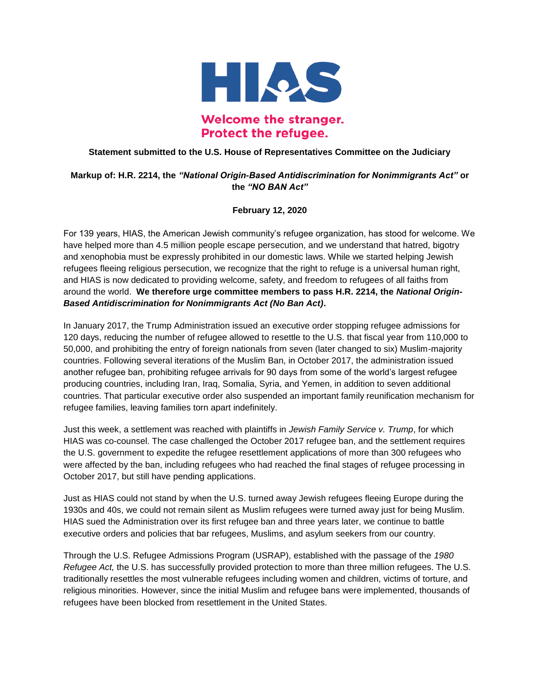

## **Welcome the stranger. Protect the refugee.**

## **Statement submitted to the U.S. House of Representatives Committee on the Judiciary**

## **Markup of: H.R. 2214, the** *"National Origin-Based Antidiscrimination for Nonimmigrants Act"* **or the** *"NO BAN Act"*

## **February 12, 2020**

For 139 years, HIAS, the American Jewish community's refugee organization, has stood for welcome. We have helped more than 4.5 million people escape persecution, and we understand that hatred, bigotry and xenophobia must be expressly prohibited in our domestic laws. While we started helping Jewish refugees fleeing religious persecution, we recognize that the right to refuge is a universal human right, and HIAS is now dedicated to providing welcome, safety, and freedom to refugees of all faiths from around the world. **We therefore urge committee members to pass H.R. 2214, the** *National Origin-Based Antidiscrimination for Nonimmigrants Act (No Ban Act)***.**

In January 2017, the Trump Administration issued an executive order stopping refugee admissions for 120 days, reducing the number of refugee allowed to resettle to the U.S. that fiscal year from 110,000 to 50,000, and prohibiting the entry of foreign nationals from seven (later changed to six) Muslim-majority countries. Following several iterations of the Muslim Ban, in October 2017, the administration issued another refugee ban, prohibiting refugee arrivals for 90 days from some of the world's largest refugee producing countries, including Iran, Iraq, Somalia, Syria, and Yemen, in addition to seven additional countries. That particular executive order also suspended an important family reunification mechanism for refugee families, leaving families torn apart indefinitely.

Just this week, a settlement was reached with plaintiffs in *Jewish Family Service v. Trump*, for which HIAS was co-counsel. The case challenged the October 2017 refugee ban, and the settlement requires the U.S. government to expedite the refugee resettlement applications of more than 300 refugees who were affected by the ban, including refugees who had reached the final stages of refugee processing in October 2017, but still have pending applications.

Just as HIAS could not stand by when the U.S. turned away Jewish refugees fleeing Europe during the 1930s and 40s, we could not remain silent as Muslim refugees were turned away just for being Muslim. HIAS sued the Administration over its first refugee ban and three years later, we continue to battle executive orders and policies that bar refugees, Muslims, and asylum seekers from our country.

Through the U.S. Refugee Admissions Program (USRAP), established with the passage of the *1980 Refugee Act,* the U.S. has successfully provided protection to more than three million refugees. The U.S. traditionally resettles the most vulnerable refugees including women and children, victims of torture, and religious minorities. However, since the initial Muslim and refugee bans were implemented, thousands of refugees have been blocked from resettlement in the United States.